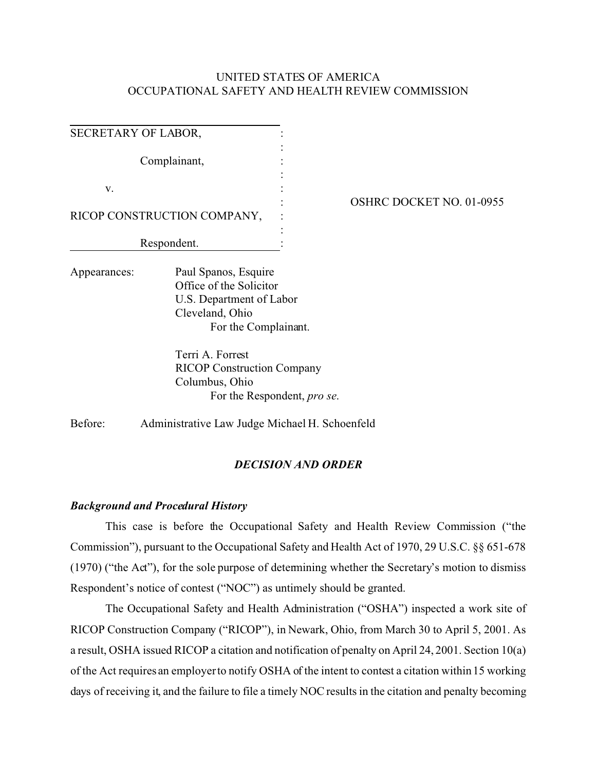## UNITED STATES OF AMERICA OCCUPATIONAL SAFETY AND HEALTH REVIEW COMMISSION

| SECRETARY OF LABOR, |                                                                                                                                            |                                     |                                 |
|---------------------|--------------------------------------------------------------------------------------------------------------------------------------------|-------------------------------------|---------------------------------|
| Complainant,        |                                                                                                                                            |                                     |                                 |
| V.                  | RICOP CONSTRUCTION COMPANY,                                                                                                                |                                     | <b>OSHRC DOCKET NO. 01-0955</b> |
| Respondent.         |                                                                                                                                            |                                     |                                 |
| Appearances:        | Paul Spanos, Esquire<br>Office of the Solicitor<br>U.S. Department of Labor<br>Cleveland, Ohio<br>For the Complainant.<br>Terri A. Forrest |                                     |                                 |
|                     | <b>RICOP Construction Company</b><br>Columbus, Ohio                                                                                        | For the Respondent, <i>pro se</i> . |                                 |

Before: Administrative Law Judge Michael H. Schoenfeld

### *DECISION AND ORDER*

#### *Background and Procedural History*

This case is before the Occupational Safety and Health Review Commission ("the Commission"), pursuant to the Occupational Safety and Health Act of 1970, 29 U.S.C. §§ 651-678 (1970) ("the Act"), for the sole purpose of determining whether the Secretary's motion to dismiss Respondent's notice of contest ("NOC") as untimely should be granted.

The Occupational Safety and Health Administration ("OSHA") inspected a work site of RICOP Construction Company ("RICOP"), in Newark, Ohio, from March 30 to April 5, 2001. As a result, OSHA issued RICOP a citation and notification of penalty on April 24, 2001. Section 10(a) of the Act requires an employer to notify OSHA of the intent to contest a citation within 15 working days of receiving it, and the failure to file a timely NOC results in the citation and penalty becoming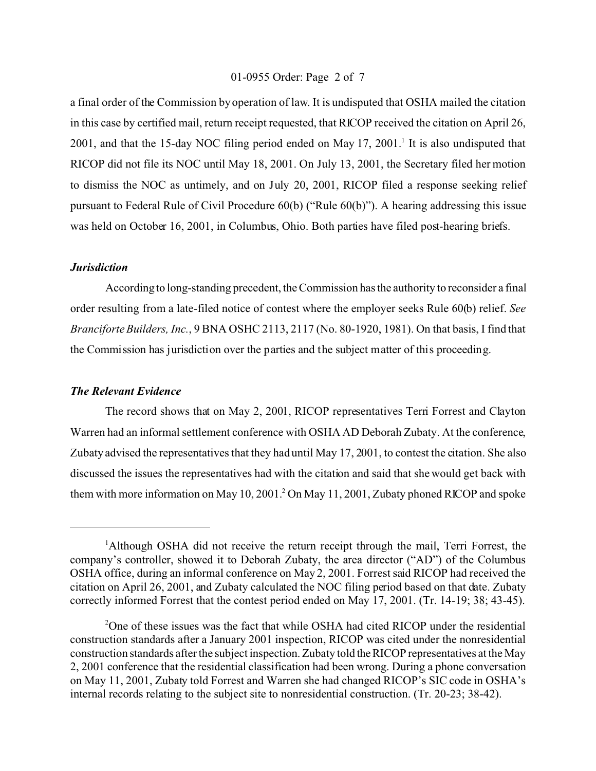#### 01-0955 Order: Page 2 of 7

a final order of the Commission by operation of law. It is undisputed that OSHA mailed the citation in this case by certified mail, return receipt requested, that RICOP received the citation on April 26, 2001, and that the 15-day NOC filing period ended on May 17, 2001.<sup>1</sup> It is also undisputed that RICOP did not file its NOC until May 18, 2001. On July 13, 2001, the Secretary filed her motion to dismiss the NOC as untimely, and on July 20, 2001, RICOP filed a response seeking relief pursuant to Federal Rule of Civil Procedure 60(b) ("Rule 60(b)"). A hearing addressing this issue was held on October 16, 2001, in Columbus, Ohio. Both parties have filed post-hearing briefs.

#### *Jurisdiction*

According to long-standing precedent, the Commission has the authority to reconsider a final order resulting from a late-filed notice of contest where the employer seeks Rule 60(b) relief. *See Branciforte Builders, Inc.*, 9 BNA OSHC 2113, 2117 (No. 80-1920, 1981). On that basis, I find that the Commission has jurisdiction over the parties and the subject matter of this proceeding.

#### *The Relevant Evidence*

The record shows that on May 2, 2001, RICOP representatives Terri Forrest and Clayton Warren had an informal settlement conference with OSHA AD Deborah Zubaty. At the conference, Zubaty advised the representatives that they had until May 17, 2001, to contest the citation. She also discussed the issues the representatives had with the citation and said that she would get back with them with more information on May 10, 2001.<sup>2</sup> On May 11, 2001, Zubaty phoned RICOP and spoke

<sup>&</sup>lt;sup>1</sup>Although OSHA did not receive the return receipt through the mail, Terri Forrest, the company's controller, showed it to Deborah Zubaty, the area director ("AD") of the Columbus OSHA office, during an informal conference on May 2, 2001. Forrest said RICOP had received the citation on April 26, 2001, and Zubaty calculated the NOC filing period based on that date. Zubaty correctly informed Forrest that the contest period ended on May 17, 2001. (Tr. 14-19; 38; 43-45).

<sup>&</sup>lt;sup>2</sup>One of these issues was the fact that while OSHA had cited RICOP under the residential construction standards after a January 2001 inspection, RICOP was cited under the nonresidential construction standards after the subject inspection. Zubaty told theRICOP representatives at the May 2, 2001 conference that the residential classification had been wrong. During a phone conversation on May 11, 2001, Zubaty told Forrest and Warren she had changed RICOP's SIC code in OSHA's internal records relating to the subject site to nonresidential construction. (Tr. 20-23; 38-42).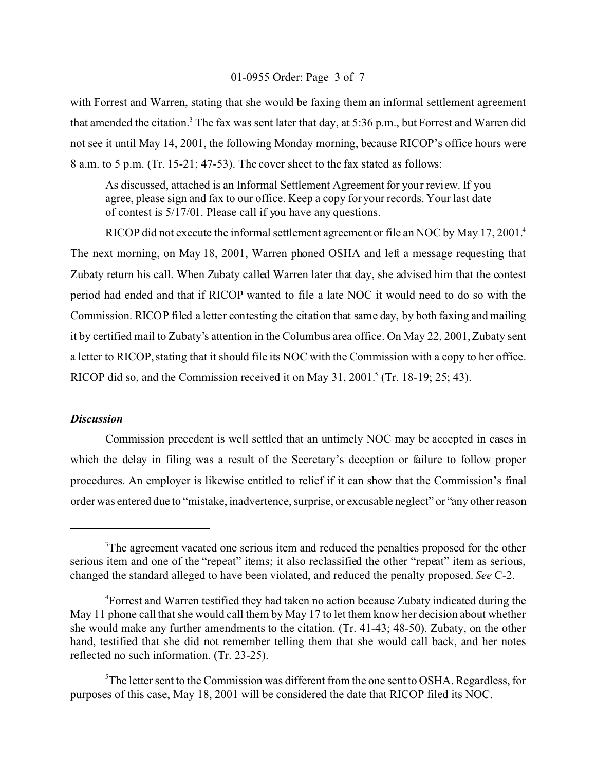#### 01-0955 Order: Page 3 of 7

with Forrest and Warren, stating that she would be faxing them an informal settlement agreement that amended the citation.<sup>3</sup> The fax was sent later that day, at 5:36 p.m., but Forrest and Warren did not see it until May 14, 2001, the following Monday morning, because RICOP's office hours were 8 a.m. to 5 p.m. (Tr. 15-21; 47-53). The cover sheet to the fax stated as follows:

As discussed, attached is an Informal Settlement Agreement for your review. If you agree, please sign and fax to our office. Keep a copy for your records. Your last date of contest is 5/17/01. Please call if you have any questions.

RICOP did not execute the informal settlement agreement or file an NOC by May 17, 2001.<sup>4</sup> The next morning, on May 18, 2001, Warren phoned OSHA and left a message requesting that Zubaty return his call. When Zubaty called Warren later that day, she advised him that the contest period had ended and that if RICOP wanted to file a late NOC it would need to do so with the Commission. RICOP filed a letter contesting the citation that same day, by both faxing and mailing it by certified mail to Zubaty's attention in the Columbus area office. On May 22, 2001, Zubaty sent a letter to RICOP, stating that it should file its NOC with the Commission with a copy to her office. RICOP did so, and the Commission received it on May 31, 2001.<sup>5</sup> (Tr. 18-19; 25; 43).

## *Discussion*

Commission precedent is well settled that an untimely NOC may be accepted in cases in which the delay in filing was a result of the Secretary's deception or failure to follow proper procedures. An employer is likewise entitled to relief if it can show that the Commission's final order was entered due to "mistake, inadvertence, surprise, or excusable neglect" or "any other reason

<sup>&</sup>lt;sup>3</sup>The agreement vacated one serious item and reduced the penalties proposed for the other serious item and one of the "repeat" items; it also reclassified the other "repeat" item as serious, changed the standard alleged to have been violated, and reduced the penalty proposed. *See* C-2.

<sup>4</sup> Forrest and Warren testified they had taken no action because Zubaty indicated during the May 11 phone call that she would call them by May 17 to let them know her decision about whether she would make any further amendments to the citation. (Tr. 41-43; 48-50). Zubaty, on the other hand, testified that she did not remember telling them that she would call back, and her notes reflected no such information. (Tr. 23-25).

<sup>&</sup>lt;sup>5</sup>The letter sent to the Commission was different from the one sent to OSHA. Regardless, for purposes of this case, May 18, 2001 will be considered the date that RICOP filed its NOC.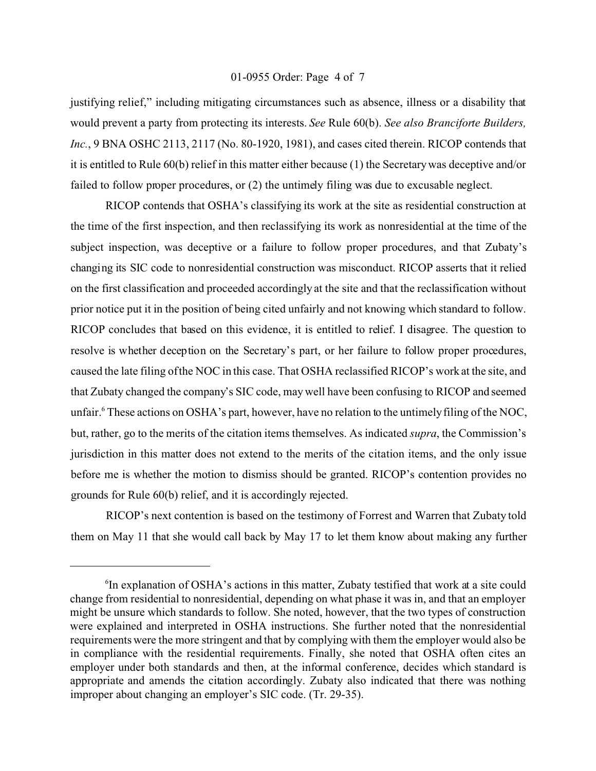#### 01-0955 Order: Page 4 of 7

justifying relief," including mitigating circumstances such as absence, illness or a disability that would prevent a party from protecting its interests. *See* Rule 60(b). *See also Branciforte Builders,*  Inc., 9 BNA OSHC 2113, 2117 (No. 80-1920, 1981), and cases cited therein. RICOP contends that it is entitled to Rule 60(b) relief in this matter either because (1) the Secretary was deceptive and/or failed to follow proper procedures, or (2) the untimely filing was due to excusable neglect.

RICOP contends that OSHA's classifying its work at the site as residential construction at the time of the first inspection, and then reclassifying its work as nonresidential at the time of the subject inspection, was deceptive or a failure to follow proper procedures, and that Zubaty's changing its SIC code to nonresidential construction was misconduct. RICOP asserts that it relied on the first classification and proceeded accordingly at the site and that the reclassification without prior notice put it in the position of being cited unfairly and not knowing which standard to follow. RICOP concludes that based on this evidence, it is entitled to relief. I disagree. The question to resolve is whether deception on the Secretary's part, or her failure to follow proper procedures, caused the late filing ofthe NOC in this case. That OSHA reclassified RICOP's work at the site, and that Zubaty changed the company's SIC code, may well have been confusing to RICOP and seemed unfair.<sup>6</sup> These actions on OSHA's part, however, have no relation to the untimely filing of the NOC, but, rather, go to the merits of the citation items themselves. As indicated *supra*, the Commission's jurisdiction in this matter does not extend to the merits of the citation items, and the only issue before me is whether the motion to dismiss should be granted. RICOP's contention provides no grounds for Rule 60(b) relief, and it is accordingly rejected.

RICOP's next contention is based on the testimony of Forrest and Warren that Zubaty told them on May 11 that she would call back by May 17 to let them know about making any further

<sup>6</sup> In explanation of OSHA's actions in this matter, Zubaty testified that work at a site could change from residential to nonresidential, depending on what phase it was in, and that an employer might be unsure which standards to follow. She noted, however, that the two types of construction were explained and interpreted in OSHA instructions. She further noted that the nonresidential requirements were the more stringent and that by complying with them the employer would also be in compliance with the residential requirements. Finally, she noted that OSHA often cites an employer under both standards and then, at the informal conference, decides which standard is appropriate and amends the citation accordingly. Zubaty also indicated that there was nothing improper about changing an employer's SIC code. (Tr. 29-35).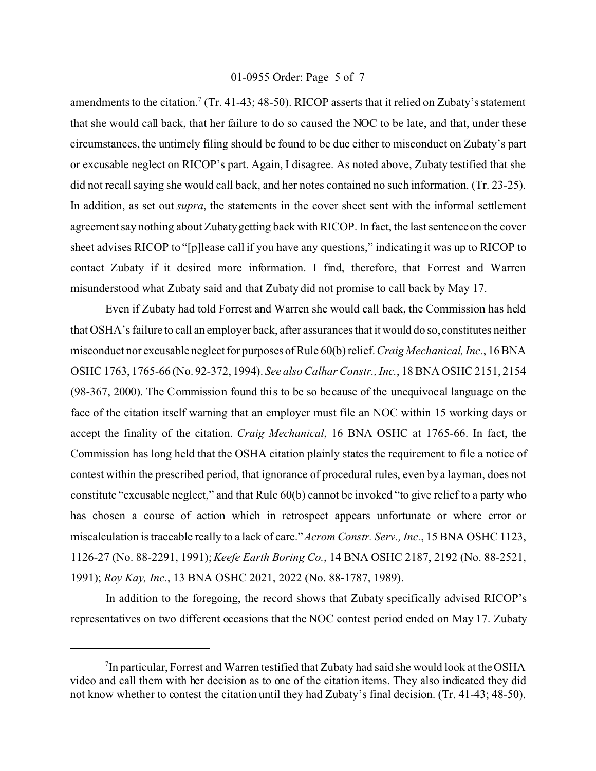#### 01-0955 Order: Page 5 of 7

amendments to the citation.<sup>7</sup> (Tr. 41-43; 48-50). RICOP asserts that it relied on Zubaty's statement that she would call back, that her failure to do so caused the NOC to be late, and that, under these circumstances, the untimely filing should be found to be due either to misconduct on Zubaty's part or excusable neglect on RICOP's part. Again, I disagree. As noted above, Zubaty testified that she did not recall saying she would call back, and her notes contained no such information. (Tr. 23-25). In addition, as set out *supra*, the statements in the cover sheet sent with the informal settlement agreement say nothing about Zubaty getting back with RICOP. In fact, the last sentence on the cover sheet advises RICOP to "[p]lease call if you have any questions," indicating it was up to RICOP to contact Zubaty if it desired more information. I find, therefore, that Forrest and Warren misunderstood what Zubaty said and that Zubaty did not promise to call back by May 17.

Even if Zubaty had told Forrest and Warren she would call back, the Commission has held that OSHA's failure to call an employer back, after assurances that it would do so, constitutes neither misconduct nor excusable neglect for purposes of Rule 60(b) relief. *Craig Mechanical, Inc.*, 16 BNA OSHC 1763, 1765-66 (No. 92-372, 1994). *See also Calhar Constr., Inc.*, 18 BNA OSHC 2151, 2154 (98-367, 2000). The Commission found this to be so because of the unequivocal language on the face of the citation itself warning that an employer must file an NOC within 15 working days or accept the finality of the citation. *Craig Mechanical*, 16 BNA OSHC at 1765-66. In fact, the Commission has long held that the OSHA citation plainly states the requirement to file a notice of contest within the prescribed period, that ignorance of procedural rules, even by a layman, does not constitute "excusable neglect," and that Rule 60(b) cannot be invoked "to give relief to a party who has chosen a course of action which in retrospect appears unfortunate or where error or miscalculation is traceable really to a lack of care." *Acrom Constr. Serv., Inc.*, 15 BNA OSHC 1123, 1126-27 (No. 88-2291, 1991); *Keefe Earth Boring Co.*, 14 BNA OSHC 2187, 2192 (No. 88-2521, 1991); *Roy Kay, Inc.*, 13 BNA OSHC 2021, 2022 (No. 88-1787, 1989).

In addition to the foregoing, the record shows that Zubaty specifically advised RICOP's representatives on two different occasions that the NOC contest period ended on May 17. Zubaty

<sup>&</sup>lt;sup>7</sup>In particular, Forrest and Warren testified that Zubaty had said she would look at the OSHA video and call them with her decision as to one of the citation items. They also indicated they did not know whether to contest the citation until they had Zubaty's final decision. (Tr. 41-43; 48-50).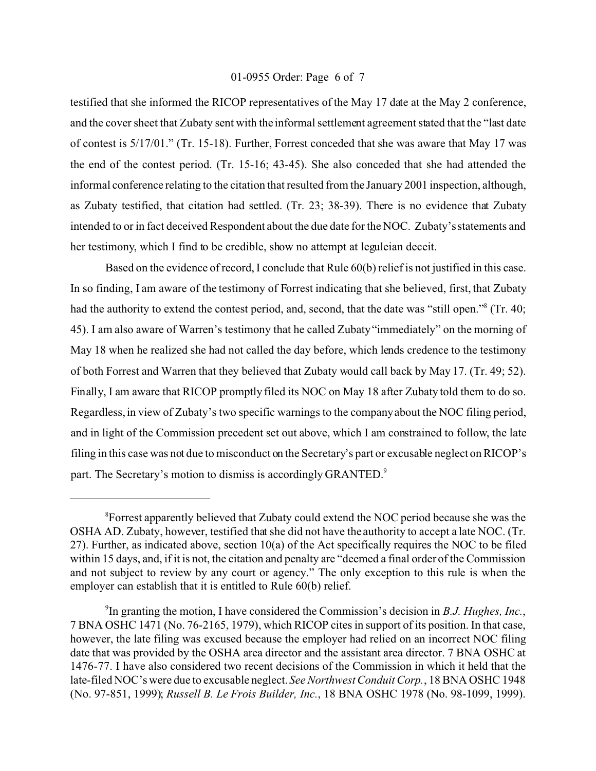#### 01-0955 Order: Page 6 of 7

testified that she informed the RICOP representatives of the May 17 date at the May 2 conference, and the cover sheet that Zubaty sent with the informal settlement agreement stated that the "last date of contest is 5/17/01." (Tr. 15-18). Further, Forrest conceded that she was aware that May 17 was the end of the contest period. (Tr. 15-16; 43-45). She also conceded that she had attended the informal conference relating to the citation that resulted from the January 2001 inspection, although, as Zubaty testified, that citation had settled. (Tr. 23; 38-39). There is no evidence that Zubaty intended to or in fact deceived Respondent about the due date for the NOC. Zubaty's statements and her testimony, which I find to be credible, show no attempt at leguleian deceit.

Based on the evidence of record, I conclude that Rule 60(b) relief is not justified in this case. In so finding, I am aware of the testimony of Forrest indicating that she believed, first, that Zubaty had the authority to extend the contest period, and, second, that the date was "still open."<sup>8</sup> (Tr. 40; 45). I am also aware of Warren's testimony that he called Zubaty "immediately" on the morning of May 18 when he realized she had not called the day before, which lends credence to the testimony of both Forrest and Warren that they believed that Zubaty would call back by May 17. (Tr. 49; 52). Finally, I am aware that RICOP promptly filed its NOC on May 18 after Zubaty told them to do so. Regardless, in view of Zubaty's two specific warnings to the company about the NOC filing period, and in light of the Commission precedent set out above, which I am constrained to follow, the late filing in this case was not due to misconduct on the Secretary's part or excusable neglect on RICOP's part. The Secretary's motion to dismiss is accordingly GRANTED.<sup>9</sup>

<sup>&</sup>lt;sup>8</sup> Forrest apparently believed that Zubaty could extend the NOC period because she was the OSHA AD. Zubaty, however, testified that she did not have the authority to accept a late NOC. (Tr. 27). Further, as indicated above, section 10(a) of the Act specifically requires the NOC to be filed within 15 days, and, if it is not, the citation and penalty are "deemed a final order of the Commission and not subject to review by any court or agency." The only exception to this rule is when the employer can establish that it is entitled to Rule 60(b) relief.

<sup>9</sup> In granting the motion, I have considered the Commission's decision in *B.J. Hughes, Inc.*, 7 BNA OSHC 1471 (No. 76-2165, 1979), which RICOP cites in support of its position. In that case, however, the late filing was excused because the employer had relied on an incorrect NOC filing date that was provided by the OSHA area director and the assistant area director. 7 BNA OSHC at 1476-77. I have also considered two recent decisions of the Commission in which it held that the late-filed NOC's were due to excusable neglect. *See Northwest Conduit Corp.*, 18 BNA OSHC 1948 (No. 97-851, 1999); *Russell B. Le Frois Builder, Inc.*, 18 BNA OSHC 1978 (No. 98-1099, 1999).